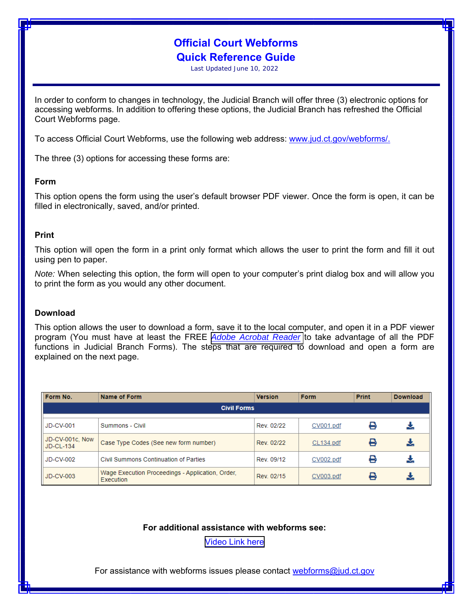# **Official Court Webforms Quick Reference Guide**

Last Updated June 10, 2022

In order to conform to changes in technology, the Judicial Branch will offer three (3) electronic options for accessing webforms. In addition to offering these options, the Judicial Branch has refreshed the Official Court Webforms page.

To access Official Court Webforms, use the following web address: www.jud.ct.gov/webforms/.

The three (3) options for accessing these forms are:

#### **Form**

This option opens the form using the user's default browser PDF viewer. Once the form is open, it can be filled in electronically, saved, and/or printed.

#### **Print**

This option will open the form in a print only format which allows the user to print the form and fill it out using pen to paper.

*Note:* When selecting this option, the form will open to your computer's print dialog box and will allow you to print the form as you would any other document.

#### **Download**

This option allows the user to download a form, save it to the local computer, and open it in a PDF viewer program (You must have at least the FREE *[Adobe Acrobat Reader](https://www.adobe.com/acrobat/pdf-reader.html)* to take advantage of all the PDF functions in Judicial Branch Forms). The steps that are required to download and open a form are explained on the next page.

| Form No.                         | Name of Form                                                  | <b>Version</b> | Form      | Print | <b>Download</b> |
|----------------------------------|---------------------------------------------------------------|----------------|-----------|-------|-----------------|
| <b>Civil Forms</b>               |                                                               |                |           |       |                 |
| <b>JD-CV-001</b>                 | Summons - Civil                                               | Rev. 02/22     | CV001.pdf |       |                 |
| JD-CV-001c, Now<br>$ $ JD-CL-134 | Case Type Codes (See new form number)                         | Rev. 02/22     | CL134.pdf | 8     |                 |
| JD-CV-002                        | Civil Summons Continuation of Parties                         | Rev. 09/12     | CV002.pdf |       |                 |
| JD-CV-003                        | Wage Execution Proceedings - Application, Order,<br>Execution | Rev. 02/15     | CV003.pdf | ⊷     |                 |

### **For additional assistance with webforms see:**

[Video Link](https://mediaservices.jud.ct.gov/jud/misc/judforms/webforms.html) here

For assistance with webforms issues please contact webforms@jud.ct.gov